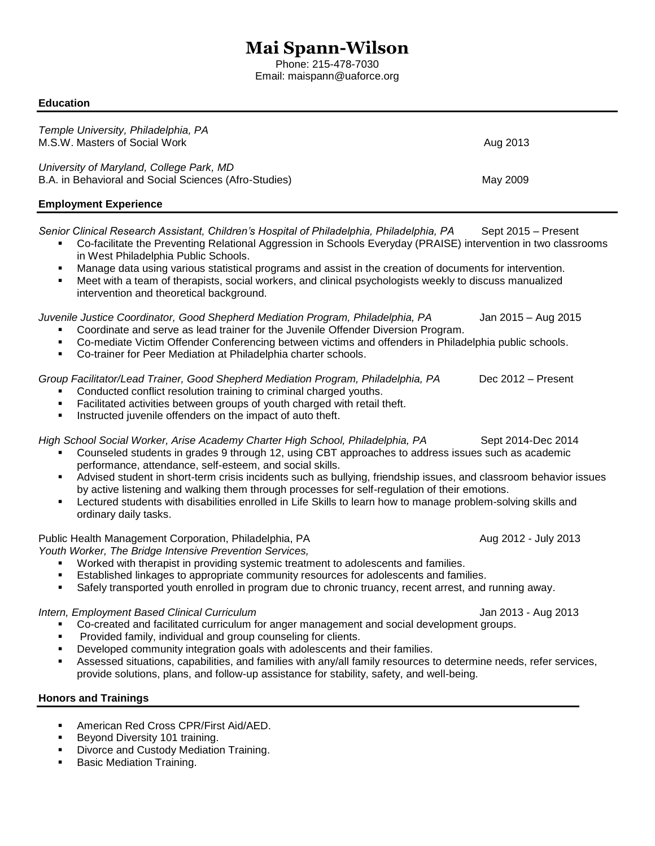# **Mai Spann-Wilson**

Phone: 215-478-7030 Email: maispann@uaforce.org

#### **Education**

| Temple University, Philadelphia, PA<br>M.S.W. Masters of Social Work                              | Aug 2013 |  |
|---------------------------------------------------------------------------------------------------|----------|--|
| University of Maryland, College Park, MD<br>B.A. in Behavioral and Social Sciences (Afro-Studies) | May 2009 |  |

## **Employment Experience**

*Senior Clinical Research Assistant, Children's Hospital of Philadelphia, Philadelphia, PA* Sept 2015 – Present

- Co-facilitate the Preventing Relational Aggression in Schools Everyday (PRAISE) intervention in two classrooms in West Philadelphia Public Schools.
- Manage data using various statistical programs and assist in the creation of documents for intervention.
- Meet with a team of therapists, social workers, and clinical psychologists weekly to discuss manualized intervention and theoretical background.

*Juvenile Justice Coordinator, Good Shepherd Mediation Program, Philadelphia, PA* Jan 2015 – Aug 2015

- Coordinate and serve as lead trainer for the Juvenile Offender Diversion Program.
- Co-mediate Victim Offender Conferencing between victims and offenders in Philadelphia public schools.
- Co-trainer for Peer Mediation at Philadelphia charter schools.

## *Group Facilitator/Lead Trainer, Good Shepherd Mediation Program, Philadelphia, PA* Dec 2012 – Present

- Conducted conflict resolution training to criminal charged youths.
- Facilitated activities between groups of youth charged with retail theft.
- Instructed juvenile offenders on the impact of auto theft.

*High School Social Worker, Arise Academy Charter High School, Philadelphia, PA* Sept 2014-Dec 2014

- Counseled students in grades 9 through 12, using CBT approaches to address issues such as academic performance, attendance, self-esteem, and social skills.
- Advised student in short-term crisis incidents such as bullying, friendship issues, and classroom behavior issues by active listening and walking them through processes for self-regulation of their emotions.
- Lectured students with disabilities enrolled in Life Skills to learn how to manage problem-solving skills and ordinary daily tasks.

Public Health Management Corporation, Philadelphia, PA Aug 2012 - July 2013

*Youth Worker, The Bridge Intensive Prevention Services,* 

- Worked with therapist in providing systemic treatment to adolescents and families.
- Established linkages to appropriate community resources for adolescents and families.
- Safely transported youth enrolled in program due to chronic truancy, recent arrest, and running away.

#### *Intern, Employment Based Clinical Curriculum* Jan 2013 - Aug 2013

- Co-created and facilitated curriculum for anger management and social development groups.
- Provided family, individual and group counseling for clients.
- Developed community integration goals with adolescents and their families.
- Assessed situations, capabilities, and families with any/all family resources to determine needs, refer services, provide solutions, plans, and follow-up assistance for stability, safety, and well-being.

## **Honors and Trainings**

- American Red Cross CPR/First Aid/AED.
- Beyond Diversity 101 training.
- Divorce and Custody Mediation Training.
- Basic Mediation Training.